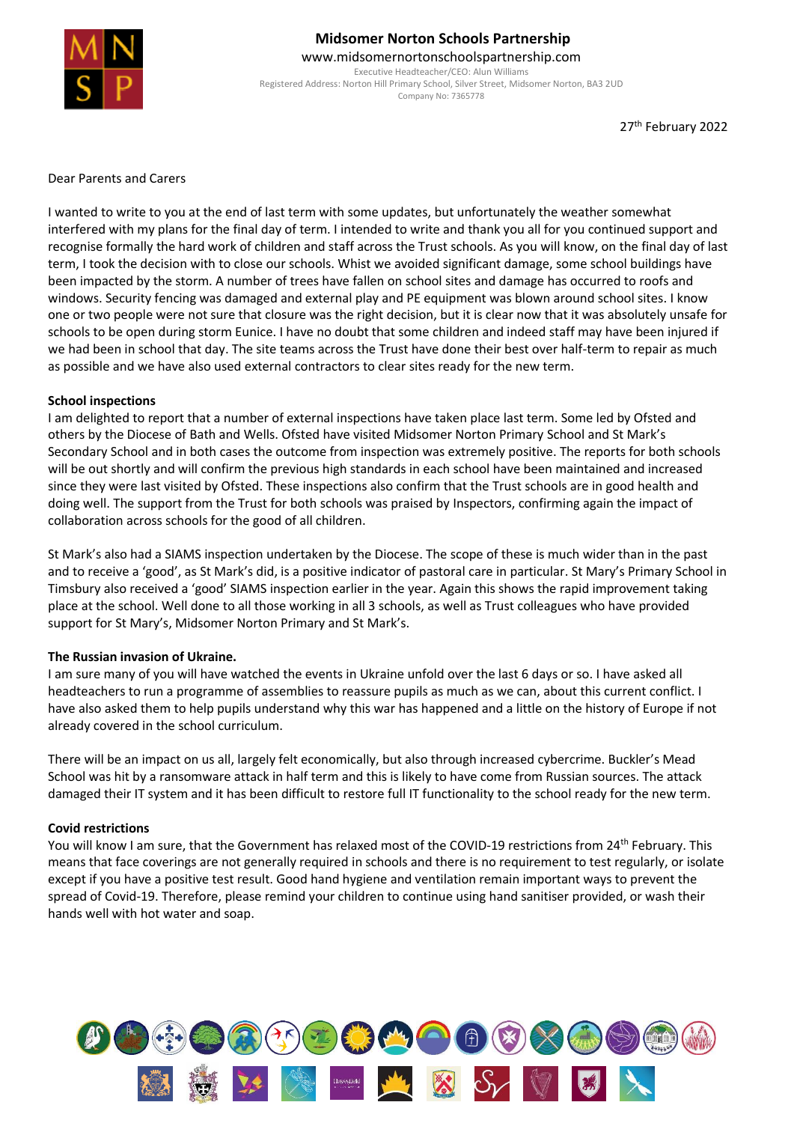

## **Midsomer Norton Schools Partnership** www.midsomernortonschoolspartnership.com

Executive Headteacher/CEO: Alun Williams Registered Address: Norton Hill Primary School, Silver Street, Midsomer Norton, BA3 2UD Company No: 7365778

27<sup>th</sup> February 2022

Dear Parents and Carers

I wanted to write to you at the end of last term with some updates, but unfortunately the weather somewhat interfered with my plans for the final day of term. I intended to write and thank you all for you continued support and recognise formally the hard work of children and staff across the Trust schools. As you will know, on the final day of last term, I took the decision with to close our schools. Whist we avoided significant damage, some school buildings have been impacted by the storm. A number of trees have fallen on school sites and damage has occurred to roofs and windows. Security fencing was damaged and external play and PE equipment was blown around school sites. I know one or two people were not sure that closure was the right decision, but it is clear now that it was absolutely unsafe for schools to be open during storm Eunice. I have no doubt that some children and indeed staff may have been injured if we had been in school that day. The site teams across the Trust have done their best over half-term to repair as much as possible and we have also used external contractors to clear sites ready for the new term.

## **School inspections**

I am delighted to report that a number of external inspections have taken place last term. Some led by Ofsted and others by the Diocese of Bath and Wells. Ofsted have visited Midsomer Norton Primary School and St Mark's Secondary School and in both cases the outcome from inspection was extremely positive. The reports for both schools will be out shortly and will confirm the previous high standards in each school have been maintained and increased since they were last visited by Ofsted. These inspections also confirm that the Trust schools are in good health and doing well. The support from the Trust for both schools was praised by Inspectors, confirming again the impact of collaboration across schools for the good of all children.

St Mark's also had a SIAMS inspection undertaken by the Diocese. The scope of these is much wider than in the past and to receive a 'good', as St Mark's did, is a positive indicator of pastoral care in particular. St Mary's Primary School in Timsbury also received a 'good' SIAMS inspection earlier in the year. Again this shows the rapid improvement taking place at the school. Well done to all those working in all 3 schools, as well as Trust colleagues who have provided support for St Mary's, Midsomer Norton Primary and St Mark's.

## **The Russian invasion of Ukraine.**

I am sure many of you will have watched the events in Ukraine unfold over the last 6 days or so. I have asked all headteachers to run a programme of assemblies to reassure pupils as much as we can, about this current conflict. I have also asked them to help pupils understand why this war has happened and a little on the history of Europe if not already covered in the school curriculum.

There will be an impact on us all, largely felt economically, but also through increased cybercrime. Buckler's Mead School was hit by a ransomware attack in half term and this is likely to have come from Russian sources. The attack damaged their IT system and it has been difficult to restore full IT functionality to the school ready for the new term.

## **Covid restrictions**

You will know I am sure, that the Government has relaxed most of the COVID-19 restrictions from 24<sup>th</sup> February. This means that face coverings are not generally required in schools and there is no requirement to test regularly, or isolate except if you have a positive test result. Good hand hygiene and ventilation remain important ways to prevent the spread of Covid-19. Therefore, please remind your children to continue using hand sanitiser provided, or wash their hands well with hot water and soap.